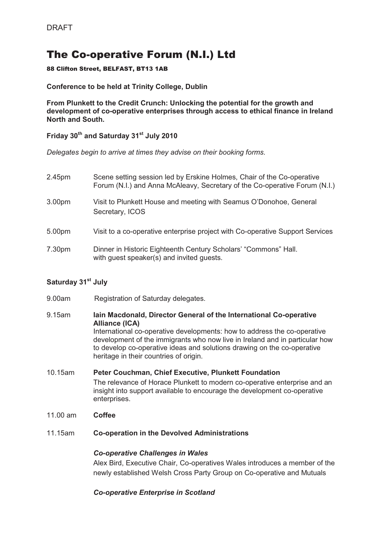# The Co-operative Forum (N.I.) Ltd

#### 88 Clifton Street, BELFAST, BT13 1AB

#### **Conference to be held at Trinity College, Dublin**

**From Plunkett to the Credit Crunch: Unlocking the potential for the growth and development of co-operative enterprises through access to ethical finance in Ireland North and South.** 

**Friday 30th and Saturday 31st July 2010** 

*Delegates begin to arrive at times they advise on their booking forms.* 

| 2.45pm | Scene setting session led by Erskine Holmes, Chair of the Co-operative<br>Forum (N.I.) and Anna McAleavy, Secretary of the Co-operative Forum (N.I.) |
|--------|------------------------------------------------------------------------------------------------------------------------------------------------------|
| 3.00pm | Visit to Plunkett House and meeting with Seamus O'Donohoe, General<br>Secretary, ICOS                                                                |
| 5.00pm | Visit to a co-operative enterprise project with Co-operative Support Services                                                                        |
| 7.30pm | Dinner in Historic Eighteenth Century Scholars' "Commons" Hall.<br>with guest speaker(s) and invited guests.                                         |

## **Saturday 31st July**

| 9.00am | Registration of Saturday delegates. |  |
|--------|-------------------------------------|--|
|        |                                     |  |

- 9.15am **Iain Macdonald, Director General of the International Co-operative Alliance (ICA)**  International co-operative developments: how to address the co-operative development of the immigrants who now live in Ireland and in particular how to develop co-operative ideas and solutions drawing on the co-operative heritage in their countries of origin.
- 10.15am **Peter Couchman, Chief Executive, Plunkett Foundation** The relevance of Horace Plunkett to modern co-operative enterprise and an insight into support available to encourage the development co-operative enterprises.
- 11.00 am **Coffee**
- 11.15am **Co-operation in the Devolved Administrations**

#### *Co-operative Challenges in Wales*

Alex Bird, Executive Chair, Co-operatives Wales introduces a member of the newly established Welsh Cross Party Group on Co-operative and Mutuals

## *Co-operative Enterprise in Scotland*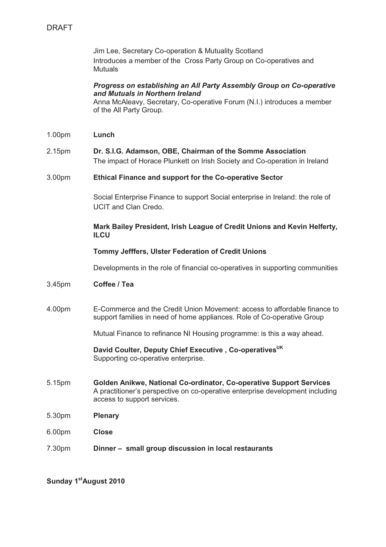Jim Lee, Secretary Co-operation & Mutuality Scotland Introduces a member of the Cross Party Group on Co-operatives and Mutuals

#### *Progress on establishing an All Party Assembly Group on Co-operative and Mutuals in Northern Ireland*

Anna McAleavy, Secretary, Co-operative Forum (N.I.) introduces a member of the All Party Group.

- 1.00pm **Lunch**
- 2.15pm **Dr. S.I.G. Adamson, OBE, Chairman of the Somme Association** The impact of Horace Plunkett on Irish Society and Co-operation in Ireland

#### 3.00pm **Ethical Finance and support for the Co-operative Sector**

Social Enterprise Finance to support Social enterprise in Ireland: the role of UCIT and Clan Credo.

#### **Mark Bailey President, Irish League of Credit Unions and Kevin Helferty, ILCU**

#### **Tommy Jefffers, Ulster Federation of Credit Unions**

Developments in the role of financial co-operatives in supporting communities

- 3.45pm **Coffee / Tea**
- 4.00pm E-Commerce and the Credit Union Movement: access to affordable finance to support families in need of home appliances. Role of Co-operative Group

Mutual Finance to refinance NI Housing programme: is this a way ahead.

 **David Coulter, Deputy Chief Executive , Co-operativesUK**  Supporting co-operative enterprise.

- 5.15pm **Golden Anikwe, National Co-ordinator, Co-operative Support Services**  A practitioner's perspective on co-operative enterprise development including access to support services.
- 5.30pm **Plenary**
- 6.00pm **Close**
- 7.30pm **Dinner – small group discussion in local restaurants**

**Sunday 1stAugust 2010**